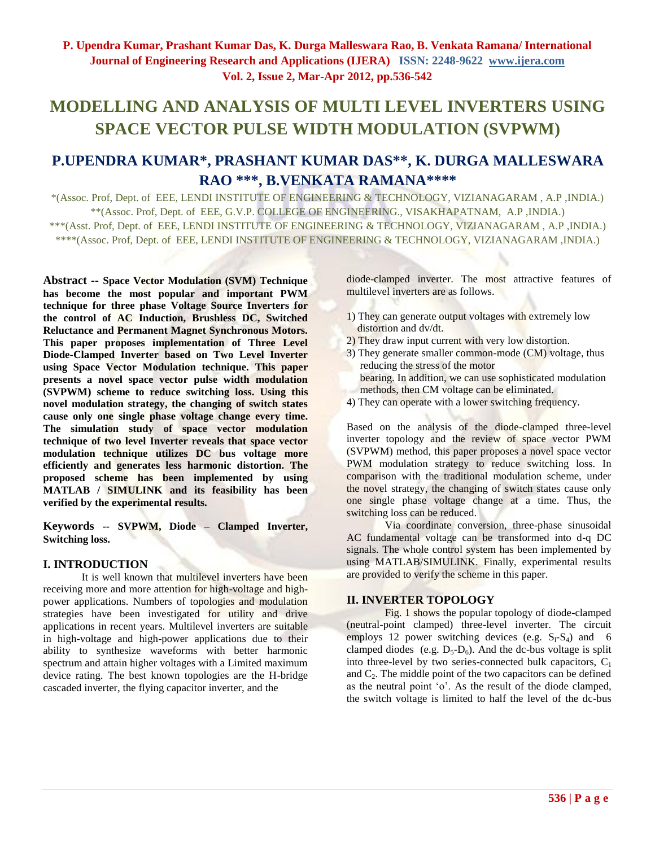# **MODELLING AND ANALYSIS OF MULTI LEVEL INVERTERS USING SPACE VECTOR PULSE WIDTH MODULATION (SVPWM)**

## **P.UPENDRA KUMAR\*, PRASHANT KUMAR DAS\*\*, K. DURGA MALLESWARA RAO \*\*\*, B.VENKATA RAMANA\*\*\*\***

\*(Assoc. Prof, Dept. of EEE, LENDI INSTITUTE OF ENGINEERING & TECHNOLOGY, VIZIANAGARAM , A.P ,INDIA.) \*\*(Assoc. Prof, Dept. of EEE, G.V.P. COLLEGE OF ENGINEERING., VISAKHAPATNAM, A.P ,INDIA.) \*\*\*(Asst. Prof, Dept. of EEE, LENDI INSTITUTE OF ENGINEERING & TECHNOLOGY, VIZIANAGARAM , A.P ,INDIA.) \*\*\*\*(Assoc. Prof, Dept. of EEE, LENDI INSTITUTE OF ENGINEERING & TECHNOLOGY, VIZIANAGARAM ,INDIA.)

**Abstract -- Space Vector Modulation (SVM) Technique has become the most popular and important PWM technique for three phase Voltage Source Inverters for the control of AC Induction, Brushless DC, Switched Reluctance and Permanent Magnet Synchronous Motors. This paper proposes implementation of Three Level Diode-Clamped Inverter based on Two Level Inverter using Space Vector Modulation technique. This paper presents a novel space vector pulse width modulation (SVPWM) scheme to reduce switching loss. Using this novel modulation strategy, the changing of switch states cause only one single phase voltage change every time. The simulation study of space vector modulation technique of two level Inverter reveals that space vector modulation technique utilizes DC bus voltage more efficiently and generates less harmonic distortion. The proposed scheme has been implemented by using MATLAB / SIMULINK and its feasibility has been verified by the experimental results.**

**Keywords -- SVPWM, Diode – Clamped Inverter, Switching loss.**

#### **I. INTRODUCTION**

It is well known that multilevel inverters have been receiving more and more attention for high-voltage and highpower applications. Numbers of topologies and modulation strategies have been investigated for utility and drive applications in recent years. Multilevel inverters are suitable in high-voltage and high-power applications due to their ability to synthesize waveforms with better harmonic spectrum and attain higher voltages with a Limited maximum device rating. The best known topologies are the H-bridge cascaded inverter, the flying capacitor inverter, and the

diode-clamped inverter. The most attractive features of multilevel inverters are as follows.

- 1) They can generate output voltages with extremely low distortion and dv/dt.
- 2) They draw input current with very low distortion.
- 3) They generate smaller common-mode (CM) voltage, thus reducing the stress of the motor bearing. In addition, we can use sophisticated modulation methods, then CM voltage can be eliminated.
- 4) They can operate with a lower switching frequency.

Based on the analysis of the diode-clamped three-level inverter topology and the review of space vector PWM (SVPWM) method, this paper proposes a novel space vector PWM modulation strategy to reduce switching loss. In comparison with the traditional modulation scheme, under the novel strategy, the changing of switch states cause only one single phase voltage change at a time. Thus, the switching loss can be reduced.

Via coordinate conversion, three-phase sinusoidal AC fundamental voltage can be transformed into d-q DC signals. The whole control system has been implemented by using MATLAB/SIMULINK. Finally, experimental results are provided to verify the scheme in this paper.

#### **II. INVERTER TOPOLOGY**

Fig. 1 shows the popular topology of diode-clamped (neutral-point clamped) three-level inverter. The circuit employs 12 power switching devices (e.g.  $S_1-S_4$ ) and 6 clamped diodes (e.g.  $D_5-D_6$ ). And the dc-bus voltage is split into three-level by two series-connected bulk capacitors,  $C_1$ and  $C_2$ . The middle point of the two capacitors can be defined as the neutral point "o". As the result of the diode clamped, the switch voltage is limited to half the level of the dc-bus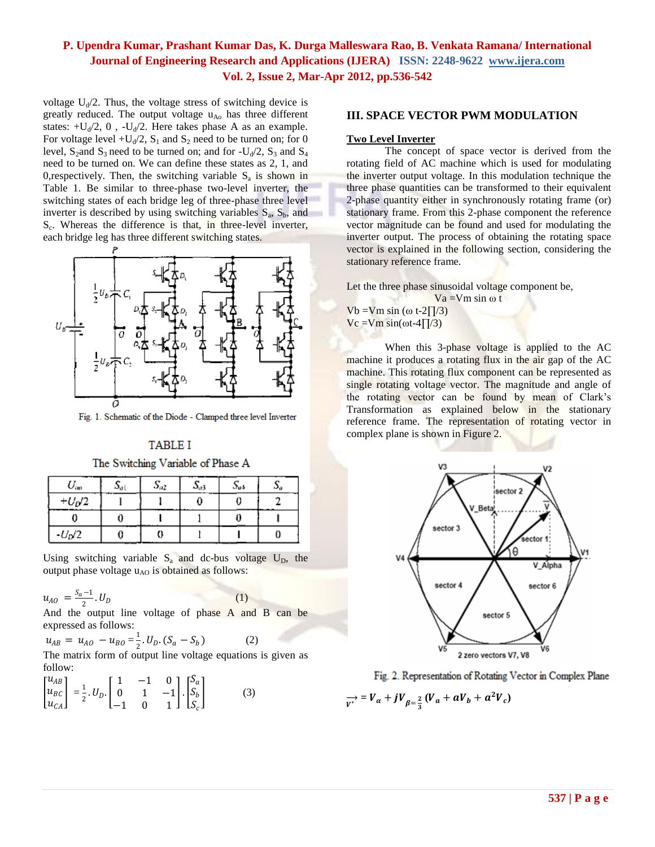voltage  $U_d/2$ . Thus, the voltage stress of switching device is greatly reduced. The output voltage  $u_{A_0}$  has three different states:  $+U_d/2$ , 0,  $-U_d/2$ . Here takes phase A as an example. For voltage level  $+U_d/2$ ,  $S_1$  and  $S_2$  need to be turned on; for 0 level,  $S_2$  and  $S_3$  need to be turned on; and for  $-U_d/2$ ,  $S_3$  and  $S_4$ need to be turned on. We can define these states as 2, 1, and 0, respectively. Then, the switching variable  $S_a$  is shown in Table 1. Be similar to three-phase two-level inverter, the switching states of each bridge leg of three-phase three level inverter is described by using switching variables  $S_a$ ,  $S_b$ , and S<sub>c</sub>. Whereas the difference is that, in three-level inverter, each bridge leg has three different switching states.



Fig. 1. Schematic of the Diode - Clamped three level Inverter

## **TABLE I**

The Switching Variable of Phase A

| $U_{op}$ | اھ | $S_{a2}$ | $S_{a3}$ | $S_{a4}$ | ررد |
|----------|----|----------|----------|----------|-----|
| $+U_D/2$ |    |          |          |          |     |
|          |    |          |          |          |     |
| $-UD/2$  |    |          |          |          |     |

Using switching variable  $S_a$  and dc-bus voltage  $U_D$ , the output phase voltage  $u_{AO}$  is obtained as follows:

$$
u_{AO} = \frac{S_a - 1}{2} . U_D
$$

 $U_D$  (1)

And the output line voltage of phase A and B can be expressed as follows:

 $u_{AB} = u_{AO} - u_{BO} = \frac{1}{2}$  $\frac{1}{2}$ .  $U_D$ .  $(S_a - S_b)$  (2)

The matrix form of output line voltage equations is given as follow:

$$
\begin{bmatrix} u_{AB} \\ u_{BC} \\ u_{CA} \end{bmatrix} = \frac{1}{2} . U_D . \begin{bmatrix} 1 & -1 & 0 \\ 0 & 1 & -1 \\ -1 & 0 & 1 \end{bmatrix} . \begin{bmatrix} S_a \\ S_b \\ S_c \end{bmatrix}
$$
 (3)

#### **III. SPACE VECTOR PWM MODULATION**

#### **Two Level Inverter**

The concept of space vector is derived from the rotating field of AC machine which is used for modulating the inverter output voltage. In this modulation technique the three phase quantities can be transformed to their equivalent 2-phase quantity either in synchronously rotating frame (or) stationary frame. From this 2-phase component the reference vector magnitude can be found and used for modulating the inverter output. The process of obtaining the rotating space vector is explained in the following section, considering the stationary reference frame.

Let the three phase sinusoidal voltage component be,

 $Va = Vm \sin \omega t$ Vb =Vm sin ( $\omega$  t-2 $\sqrt{7/3}$ ) Vc =Vm sin( $\omega$ t-4∏/3)

When this 3-phase voltage is applied to the AC machine it produces a rotating flux in the air gap of the AC machine. This rotating flux component can be represented as single rotating voltage vector. The magnitude and angle of the rotating vector can be found by mean of Clark"s Transformation as explained below in the stationary reference frame. The representation of rotating vector in complex plane is shown in Figure 2.





 $\frac{1}{V^*} = V_a + jV_{\beta = \frac{2}{3}}(V_a + aV_b + a^2V_c)$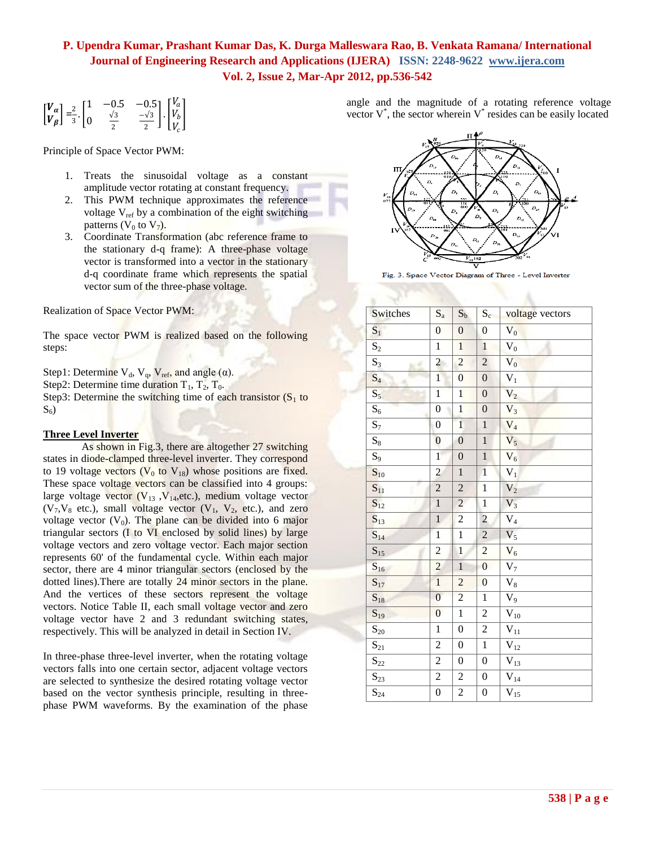$$
\begin{bmatrix} V_{\alpha} \\ V_{\beta} \end{bmatrix} = \frac{2}{3} \cdot \begin{bmatrix} 1 & -0.5 & -0.5 \\ 0 & \frac{\sqrt{3}}{2} & \frac{-\sqrt{3}}{2} \end{bmatrix} \cdot \begin{bmatrix} V_{\alpha} \\ V_{b} \\ V_{c} \end{bmatrix}
$$

Principle of Space Vector PWM:

- 1. Treats the sinusoidal voltage as a constant amplitude vector rotating at constant frequency.
- 2. This PWM technique approximates the reference voltage  $V_{ref}$  by a combination of the eight switching patterns ( $V_0$  to  $V_7$ ).
- 3. Coordinate Transformation (abc reference frame to the stationary d-q frame): A three-phase voltage vector is transformed into a vector in the stationary d-q coordinate frame which represents the spatial vector sum of the three-phase voltage.

Realization of Space Vector PWM:

The space vector PWM is realized based on the following steps:

Step1: Determine  $V_d$ ,  $V_q$ ,  $V_{ref}$ , and angle ( $\alpha$ ). Step2: Determine time duration  $T_1$ ,  $T_2$ ,  $T_0$ . Step3: Determine the switching time of each transistor  $(S_1$  to  $S_6$ 

#### **Three Level Inverter**

As shown in Fig.3, there are altogether 27 switching states in diode-clamped three-level inverter. They correspond to 19 voltage vectors ( $V_0$  to  $V_{18}$ ) whose positions are fixed. These space voltage vectors can be classified into 4 groups: large voltage vector  $(V_{13}, V_{14}, etc.),$  medium voltage vector  $(V_7, V_8$  etc.), small voltage vector  $(V_1, V_2,$  etc.), and zero voltage vector  $(V_0)$ . The plane can be divided into 6 major triangular sectors (I to VI enclosed by solid lines) by large voltage vectors and zero voltage vector. Each major section represents 60' of the fundamental cycle. Within each major sector, there are 4 minor triangular sectors (enclosed by the dotted lines). There are totally 24 minor sectors in the plane. And the vertices of these sectors represent the voltage vectors. Notice Table II, each small voltage vector and zero voltage vector have 2 and 3 redundant switching states, respectively. This will be analyzed in detail in Section IV.

In three-phase three-level inverter, when the rotating voltage vectors falls into one certain sector, adjacent voltage vectors are selected to synthesize the desired rotating voltage vector based on the vector synthesis principle, resulting in threephase PWM waveforms. By the examination of the phase angle and the magnitude of a rotating reference voltage vector  $V^*$ , the sector wherein  $V^*$  resides can be easily located



Fig. 3. Space Vector Diagram of Three - Level Inverter

| Switches          | $\mathbf{S}_{\text{a}}$ | $\mathbf{S}_\mathrm{b}$ | $\mathbf{S}_{\rm c}$ | voltage vectors         |
|-------------------|-------------------------|-------------------------|----------------------|-------------------------|
| $S_1$             | $\boldsymbol{0}$        | $\overline{0}$          | $\boldsymbol{0}$     | $V_0$                   |
| $S_2$             | $\mathbf{1}$            | $\mathbf{1}$            | $\mathbf{1}$         | $\mathbf{\bar{V}}_0$    |
| $S_3$             | $\overline{c}$          | $\overline{c}$          | $\overline{c}$       | $\mathbf{\bar{V}}_0$    |
| $S_4$             | $\mathbf{1}$            | $\boldsymbol{0}$        | $\boldsymbol{0}$     | $\mathbf{\bar{V}}_1$    |
| $S_5$             | $\overline{1}$          | $\mathbf{1}$            | $\boldsymbol{0}$     | $\overline{V_2}$        |
| $S_6$             | $\boldsymbol{0}$        | $\overline{1}$          | $\boldsymbol{0}$     | $V_3$                   |
| $S_7$             | $\boldsymbol{0}$        | $\mathbf{1}$            | $\mathbf{1}$         | $\overline{V}_4$        |
| $S_8$             | $\boldsymbol{0}$        | $\boldsymbol{0}$        | $\mathbf{1}$         | $V_5$                   |
| $S_9$             | $\mathbf{1}$            | $\boldsymbol{0}$        | $\mathbf{1}$         | $\bar{V}_6$             |
| $\mathbf{S}_{10}$ | $\overline{c}$          | $\mathbf{1}$            | $\mathbf{1}$         | $V_1$                   |
| $S_{11}$          | $\overline{2}$          | $\sqrt{2}$              | $\,1$                | $\mathbf{V}_2$          |
| $S_{12}$          | $\mathbf 1$             | $\overline{c}$          | $\,1$                | $\overline{V}_3$        |
| $S_{13}$          | $\mathbf{1}$            | $\overline{c}$          | $\overline{c}$       | $V_4$                   |
| $S_{14}$          | $\overline{1}$          | $\mathbf{1}$            | $\overline{c}$       | $\overline{V}_5$        |
| $S_{15}$          | $\overline{2}$          | $\,1$                   | $\overline{c}$       | $\mathbf{V}_6$          |
| $S_{16}$          | $\overline{2}$          | $\,1$                   | $\boldsymbol{0}$     | $\mathbf{\bar{V}}_7$    |
| $S_{17}$          | $\overline{1}$          | $\overline{c}$          | $\boldsymbol{0}$     | $\mathbf{\bar{V}}_8$    |
| $S_{18}$          | $\overline{0}$          | $\overline{c}$          | $\mathbf{1}$         | $\mathbf{V}_9$          |
| $S_{19}$          | $\overline{0}$          | $\mathbf{1}$            | $\overline{c}$       | $\mathbf{V}_{10}$       |
| $\mathbf{S}_{20}$ | $\mathbf{1}$            | $\boldsymbol{0}$        | $\overline{c}$       | $\mathbf{\bar{V}}_{11}$ |
| $S_{21}$          | $\overline{c}$          | $\boldsymbol{0}$        | $\,1$                | $\mathbf{V}_{12}$       |
| $S_{22}$          | $\overline{c}$          | $\boldsymbol{0}$        | $\boldsymbol{0}$     | $\mathbf{\bar{V}}_{13}$ |
| $\mathbf{S}_{23}$ | $\overline{c}$          | $\overline{c}$          | $\boldsymbol{0}$     | $\mathbf{V}_{14}$       |
| $S_{24}$          | $\boldsymbol{0}$        | $\overline{c}$          | $\boldsymbol{0}$     | $\overline{V}_{15}$     |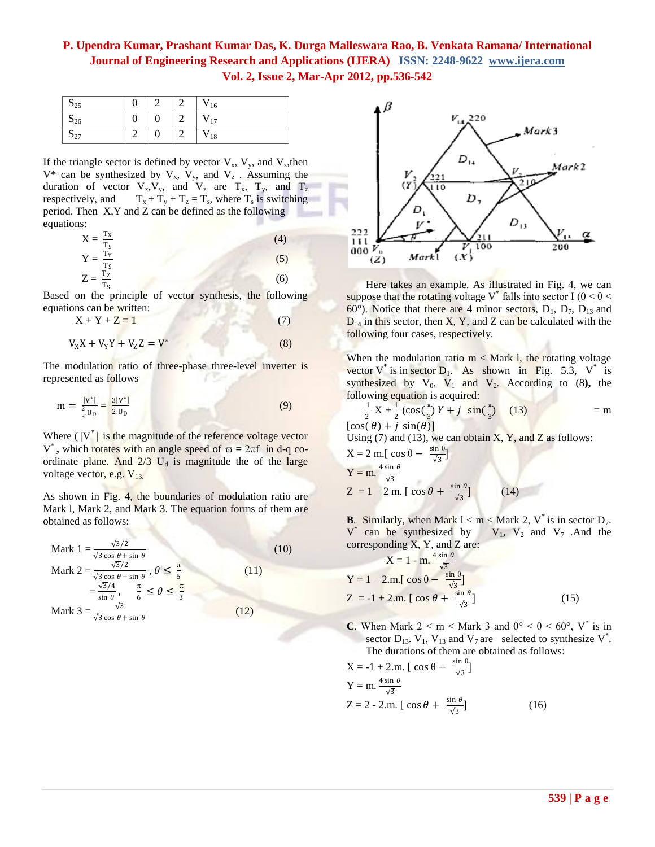| $S_{25}$ |                | $\mathsf{v}_{16}$ |
|----------|----------------|-------------------|
| $S_{26}$ | 0              | $V_{17}$          |
| $S_{27}$ | $\overline{0}$ | $\mathbf{v}_{18}$ |

If the triangle sector is defined by vector  $V_x$ ,  $V_y$ , and  $V_z$ , then  $V^*$  can be synthesized by  $V_x$ ,  $V_y$ , and  $V_z$ . Assuming the duration of vector  $V_x, V_y$ , and  $V_z$  are  $T_x$ ,  $T_y$ , and  $T_z$ respectively, and  $T_x + T_y + T_z = T_s$ , where  $T_s$  is switching period. Then X,Y and Z can be defined as the following equations:

$$
X = \frac{T_X}{T_S}
$$
  
\n
$$
Y = \frac{T_Y}{T_S}
$$
  
\n
$$
Z = \frac{T_Z}{T_S}
$$
  
\n(4)  
\n(5)  
\n(6)

Based on the principle of vector synthesis, the following equations can be written:

$$
X + Y + Z = 1 \tag{7}
$$

$$
V_X X + V_Y Y + V_Z Z = V^*
$$
\n(8)

The modulation ratio of three-phase three-level inverter is represented as follows

$$
m = \frac{|V^*|}{\frac{2}{3}U_D} = \frac{3|V^*|}{2.U_D}
$$
 (9)

Where  $(|V^*|)$  is the magnitude of the reference voltage vector V<sup>\*</sup>, which rotates with an angle speed of  $\varpi = 2\pi f$  in d-q coordinate plane. And  $2/3$  U<sub>d</sub> is magnitude the of the large voltage vector, e.g.  $V_{13}$ .

As shown in Fig. 4, the boundaries of modulation ratio are Mark l, Mark 2, and Mark 3. The equation forms of them are obtained as follows:





Here takes an example. As illustrated in Fig. 4, we can suppose that the rotating voltage V<sup>\*</sup> falls into sector I ( $0 \le \theta \le$  $60^{\circ}$ ). Notice that there are 4 minor sectors,  $D_1$ ,  $D_7$ ,  $D_{13}$  and  $D_{14}$  in this sector, then X, Y, and Z can be calculated with the following four cases, respectively.

When the modulation ratio  $m <$  Mark 1, the rotating voltage vector  $V^*$  is in sector  $D_1$ . As shown in Fig. 5.3,  $V^*$  is synthesized by  $V_0$ ,  $V_1$  and  $V_2$ . According to (8), the following equation is acquired:

$$
\frac{1}{2} \times + \frac{1}{2} (\cos(\frac{\pi}{3}) Y + j \sin(\frac{\pi}{3}) \quad (13)
$$
\n[ $\cos(\theta) + j \sin(\theta)$ ]  
\nUsing (7) and (13), we can obtain X, Y, and Z as follows:  
\nX = 2 m. [  $\cos \theta - \frac{\sin \theta}{\sqrt{3}}$ ]  
\nY = m.  $\frac{4 \sin \theta}{\sqrt{3}}$   
\nZ = 1 - 2 m. [  $\cos \theta + \frac{\sin \theta}{\sqrt{3}}$  ] (14)

**B.** Similarly, when Mark  $l < m <$  Mark 2, V<sup>\*</sup> is in sector  $D_7$ .<br>  $V^*$  can be synthesized by  $V_1$ ,  $V_2$  and  $V_7$ . And the  $V^*$  can be synthesized by  $V_1$ ,  $V_2$  and  $V_7$ . And the corresponding X, Y, and Z are:

$$
X = 1 - m \cdot \frac{4 \sin \theta}{\sqrt{3}}
$$
  
\n
$$
Y = 1 - 2.m. [\cos \theta - \frac{\sin \theta}{\sqrt{3}}]
$$
  
\n
$$
Z = -1 + 2.m. [\cos \theta + \frac{\sin \theta}{\sqrt{3}}]
$$
\n(15)

**C**. When Mark  $2 < m <$  Mark 3 and  $0^{\circ} < \theta < 60^{\circ}$ , V<sup>\*</sup> is in sector  $D_{13}$ .  $V_1$ ,  $V_{13}$  and  $V_7$  are selected to synthesize  $V^*$ . The durations of them are obtained as follows:

$$
X = -1 + 2.m. [cos \theta - \frac{sin \theta}{\sqrt{3}}]
$$
  
\n
$$
Y = m. \frac{4 sin \theta}{\sqrt{3}}
$$
  
\n
$$
Z = 2 - 2.m. [cos \theta + \frac{sin \theta}{\sqrt{3}}]
$$
 (16)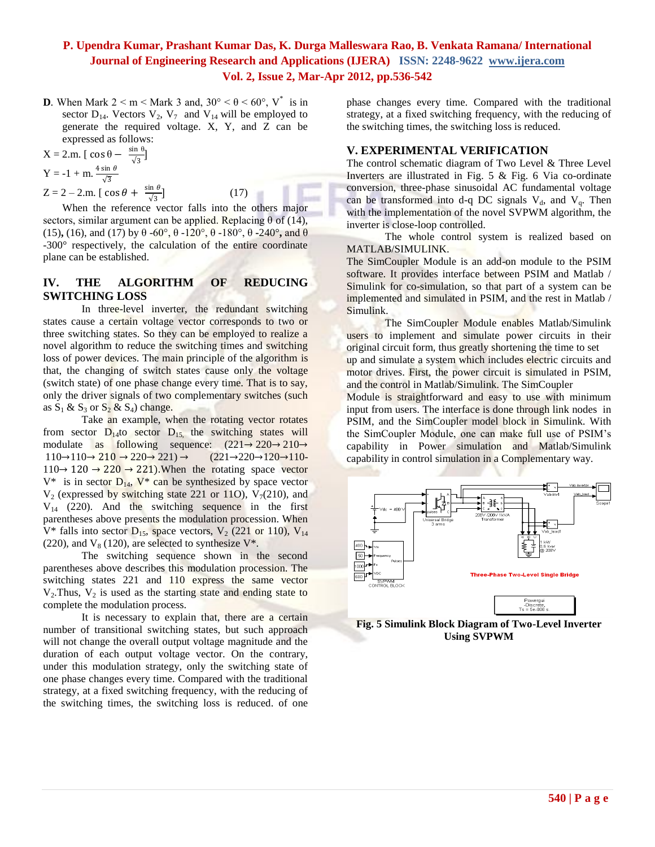**D***.* When Mark  $2 < m <$  Mark 3 and,  $30^{\circ} < \theta < 60^{\circ}$ , V<sup>\*</sup> is in sector  $D_{14}$ . Vectors  $V_2$ ,  $V_7$  and  $V_{14}$  will be employed to generate the required voltage. X, Y, and Z can be expressed as follows:

$$
X = 2.m. [cos \theta - \frac{sin \theta}{\sqrt{3}}]Y = -1 + m. \frac{4 sin \theta}{\sqrt{3}}
$$

 $Z = 2 - 2$ .m. [  $\cos \theta + \frac{\sin \theta}{\sqrt{2}}$ √3

 $(17)$ 

When the reference vector falls into the others major sectors, similar argument can be applied. Replacing  $\theta$  of (14), (15)**,** (16), and (17) by  $\theta$  -60°,  $\theta$  -120°,  $\theta$  -180°,  $\theta$  -240°, and  $\theta$ -300° respectively, the calculation of the entire coordinate plane can be established.

#### **IV. THE ALGORITHM OF REDUCING SWITCHING LOSS**

In three-level inverter, the redundant switching states cause a certain voltage vector corresponds to two or three switching states. So they can be employed to realize a novel algorithm to reduce the switching times and switching loss of power devices. The main principle of the algorithm is that, the changing of switch states cause only the voltage (switch state) of one phase change every time. That is to say, only the driver signals of two complementary switches (such as  $S_1$  &  $S_3$  or  $S_2$  &  $S_4$ ) change.

Take an example, when the rotating vector rotates from sector  $D_{14}$ to sector  $D_{15}$ , the switching states will modulate as following sequence:  $(221 \rightarrow 220 \rightarrow 210 \rightarrow$  $110\rightarrow110\rightarrow210\rightarrow220\rightarrow221\rightarrow(221\rightarrow220\rightarrow120\rightarrow110 110 \rightarrow 120 \rightarrow 220 \rightarrow 221$ . When the rotating space vector  $V^*$  is in sector  $D_{14}$ ,  $V^*$  can be synthesized by space vector  $V_2$  (expressed by switching state 221 or 11O),  $V_7(210)$ , and  $V_{14}$  (220). And the switching sequence in the first parentheses above presents the modulation procession. When  $V^*$  falls into sector  $D_{15}$ , space vectors,  $V_2$  (221 or 110),  $V_{14}$ (220), and  $V_8$  (120), are selected to synthesize  $V^*$ .

The switching sequence shown in the second parentheses above describes this modulation procession. The switching states 221 and 110 express the same vector  $V_2$ . Thus,  $V_2$  is used as the starting state and ending state to complete the modulation process.

It is necessary to explain that, there are a certain number of transitional switching states, but such approach will not change the overall output voltage magnitude and the duration of each output voltage vector. On the contrary, under this modulation strategy, only the switching state of one phase changes every time. Compared with the traditional strategy, at a fixed switching frequency, with the reducing of the switching times, the switching loss is reduced. of one phase changes every time. Compared with the traditional strategy, at a fixed switching frequency, with the reducing of the switching times, the switching loss is reduced.

#### **V. EXPERIMENTAL VERIFICATION**

The control schematic diagram of Two Level & Three Level Inverters are illustrated in Fig. 5 & Fig. 6 Via co-ordinate conversion, three-phase sinusoidal AC fundamental voltage can be transformed into d-q DC signals  $V_d$ , and  $V_g$ . Then with the implementation of the novel SVPWM algorithm, the inverter is close-loop controlled.

The whole control system is realized based on MATLAB/SIMULINK.

The SimCoupler Module is an add-on module to the PSIM software. It provides interface between PSIM and Matlab / Simulink for co-simulation, so that part of a system can be implemented and simulated in PSIM, and the rest in Matlab / Simulink.

The SimCoupler Module enables Matlab/Simulink users to implement and simulate power circuits in their original circuit form, thus greatly shortening the time to set up and simulate a system which includes electric circuits and motor drives. First, the power circuit is simulated in PSIM, and the control in Matlab/Simulink. The SimCoupler

Module is straightforward and easy to use with minimum input from users. The interface is done through link nodes in PSIM, and the SimCoupler model block in Simulink. With the SimCoupler Module, one can make full use of PSIM"s capability in Power simulation and Matlab/Simulink capability in control simulation in a Complementary way.



**Fig. 5 Simulink Block Diagram of Two-Level Inverter Using SVPWM**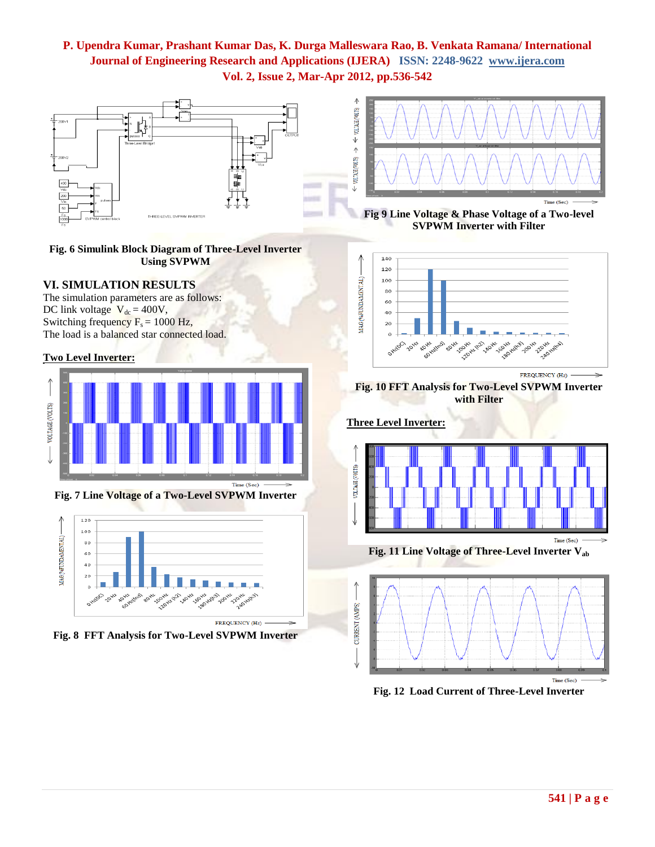

**Fig. 6 Simulink Block Diagram of Three-Level Inverter Using SVPWM**

#### **VI. SIMULATION RESULTS**

The simulation parameters are as follows: DC link voltage  $V_{dc} = 400V$ , Switching frequency  $F_s = 1000$  Hz, The load is a balanced star connected load.

#### **Two Level Inverter:**



**Fig. 7 Line Voltage of a Two-Level SVPWM Inverter**



**Fig. 8 FFT Analysis for Two-Level SVPWM Inverter**



**Fig 9 Line Voltage & Phase Voltage of a Two-level SVPWM Inverter with Filter**



FREQUENCY (Hz)

**Fig. 10 FFT Analysis for Two-Level SVPWM Inverter with Filter**

#### **Three Level Inverter:**



**Fig. 11 Line Voltage of Three-Level Inverter Vab**



**Fig. 12 Load Current of Three-Level Inverter**